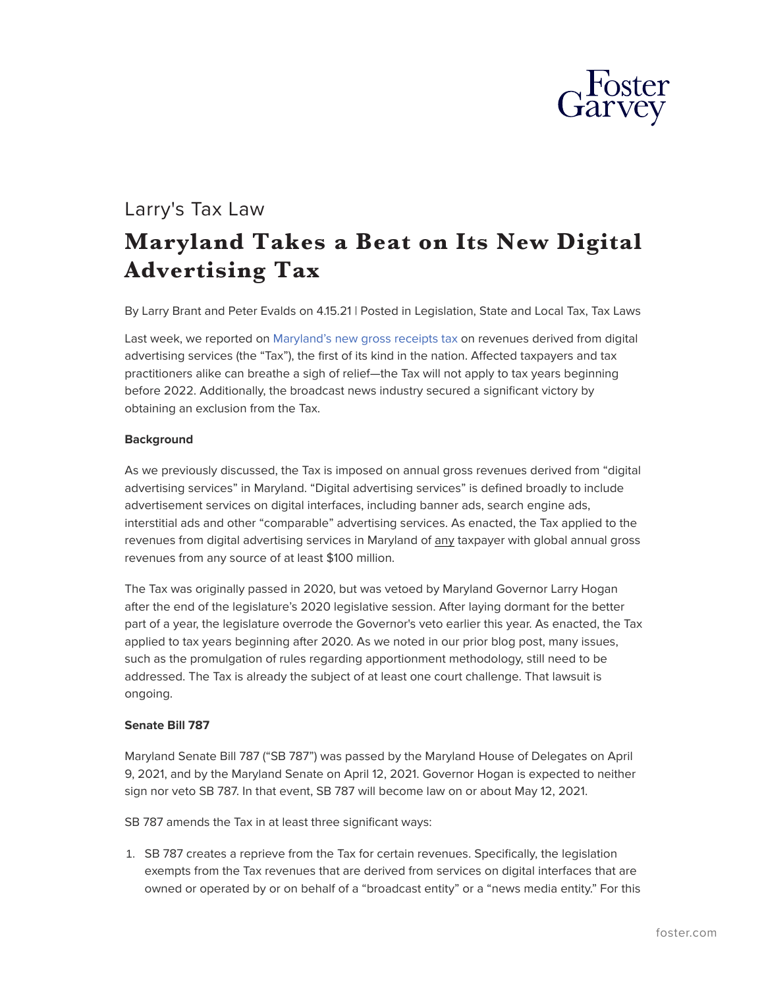

## Larry's Tax Law **Maryland Takes a Beat on Its New Digital Advertising Tax**

By Larry Brant and Peter Evalds on 4.15.21 | Posted in Legislation, State and Local Tax, Tax Laws

Last week, we reported on [Maryland's new gross receipts tax](https://www.foster.com/larry-s-tax-law/maryland-state-tax-digital-advertising) on revenues derived from digital advertising services (the "Tax"), the first of its kind in the nation. Affected taxpayers and tax practitioners alike can breathe a sigh of relief—the Tax will not apply to tax years beginning before 2022. Additionally, the broadcast news industry secured a significant victory by obtaining an exclusion from the Tax.

## **Background**

As we previously discussed, the Tax is imposed on annual gross revenues derived from "digital advertising services" in Maryland. "Digital advertising services" is defined broadly to include advertisement services on digital interfaces, including banner ads, search engine ads, interstitial ads and other "comparable" advertising services. As enacted, the Tax applied to the revenues from digital advertising services in Maryland of any taxpayer with global annual gross revenues from any source of at least \$100 million.

The Tax was originally passed in 2020, but was vetoed by Maryland Governor Larry Hogan after the end of the legislature's 2020 legislative session. After laying dormant for the better part of a year, the legislature overrode the Governor's veto earlier this year. As enacted, the Tax applied to tax years beginning after 2020. As we noted in our prior blog post, many issues, such as the promulgation of rules regarding apportionment methodology, still need to be addressed. The Tax is already the subject of at least one court challenge. That lawsuit is ongoing.

## **Senate Bill 787**

Maryland Senate Bill 787 ("SB 787") was passed by the Maryland House of Delegates on April 9, 2021, and by the Maryland Senate on April 12, 2021. Governor Hogan is expected to neither sign nor veto SB 787. In that event, SB 787 will become law on or about May 12, 2021.

SB 787 amends the Tax in at least three significant ways:

1. SB 787 creates a reprieve from the Tax for certain revenues. Specifically, the legislation exempts from the Tax revenues that are derived from services on digital interfaces that are owned or operated by or on behalf of a "broadcast entity" or a "news media entity." For this